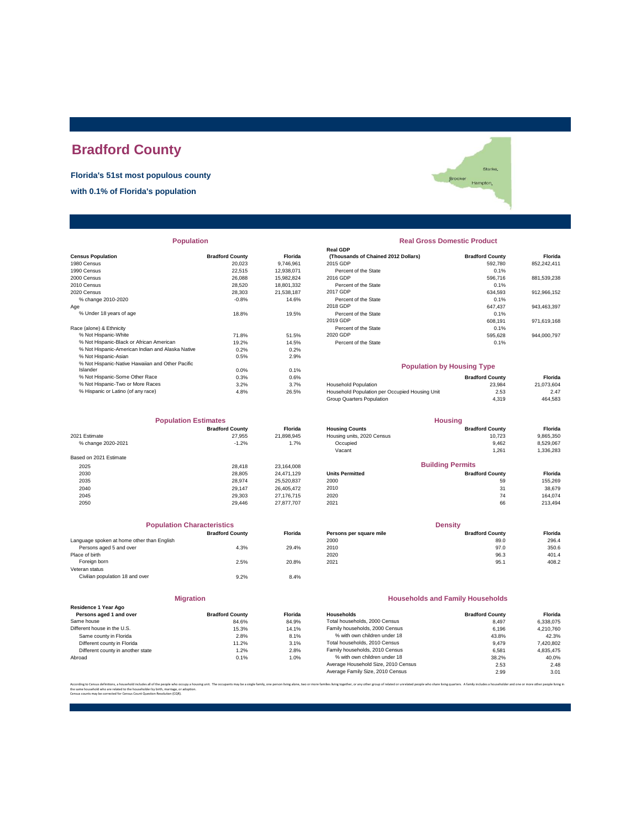# **Bradford County**

**Florida's 51st most populous county**

**with 0.1% of Florida's population**

|                                                  |                        |            | Real GDP                                       |                        |             |
|--------------------------------------------------|------------------------|------------|------------------------------------------------|------------------------|-------------|
| <b>Census Population</b>                         | <b>Bradford County</b> | Florida    | (Thousands of Chained 2012 Dollars)            | <b>Bradford County</b> | Florida     |
| 1980 Census                                      | 20.023                 | 9,746,961  | 2015 GDP                                       | 592,780                | 852,242,411 |
| 1990 Census                                      | 22,515                 | 12,938,071 | Percent of the State                           | 0.1%                   |             |
| 2000 Census                                      | 26,088                 | 15,982,824 | 2016 GDP                                       | 596.716                | 881,539,238 |
| 2010 Census                                      | 28,520                 | 18,801,332 | Percent of the State                           | 0.1%                   |             |
| 2020 Census                                      | 28.303                 | 21,538,187 | 2017 GDP                                       | 634,593                | 912,966,152 |
| % change 2010-2020                               | $-0.8%$                | 14.6%      | Percent of the State                           | 0.1%                   |             |
| Age                                              |                        |            | 2018 GDP                                       | 647,437                | 943,463,397 |
| % Under 18 years of age                          | 18.8%                  | 19.5%      | Percent of the State                           | 0.1%                   |             |
|                                                  |                        |            | 2019 GDP                                       | 608.191                | 971,619,168 |
| Race (alone) & Ethnicity                         |                        |            | Percent of the State                           | 0.1%                   |             |
| % Not Hispanic-White                             | 71.8%                  | 51.5%      | 2020 GDP                                       | 595,628                | 944,000,797 |
| % Not Hispanic-Black or African American         | 19.2%                  | 14.5%      | Percent of the State                           | 0.1%                   |             |
| % Not Hispanic-American Indian and Alaska Native | 0.2%                   | 0.2%       |                                                |                        |             |
| % Not Hispanic-Asian                             | 0.5%                   | 2.9%       |                                                |                        |             |
| % Not Hispanic-Native Hawaiian and Other Pacific |                        |            | <b>Population by Housing Type</b>              |                        |             |
| Islander                                         | 0.0%                   | 0.1%       |                                                |                        |             |
| % Not Hispanic-Some Other Race                   | 0.3%                   | 0.6%       |                                                | <b>Bradford County</b> | Florida     |
| % Not Hispanic-Two or More Races                 | 3.2%                   | 3.7%       | <b>Household Population</b>                    | 23,984                 | 21,073,604  |
| % Hispanic or Latino (of any race)               | 4.8%                   | 26.5%      | Household Population per Occupied Housing Unit | 2.53                   | 2.47        |
|                                                  |                        |            |                                                |                        |             |

| <b>Population Estimates</b> |                        | <b>Housing</b> |                            |                         |           |
|-----------------------------|------------------------|----------------|----------------------------|-------------------------|-----------|
|                             | <b>Bradford County</b> | <b>Florida</b> | <b>Housing Counts</b>      | <b>Bradford County</b>  | Florida   |
| 2021 Estimate               | 27.955                 | 21,898,945     | Housing units, 2020 Census | 10.723                  | 9,865,350 |
| % change 2020-2021          | $-1.2%$                | 1.7%           | Occupied                   | 9,462                   | 8,529,067 |
|                             |                        |                | Vacant                     | 1,261                   | 1,336,283 |
| Based on 2021 Estimate      |                        |                |                            |                         |           |
| 2025                        | 28,418                 | 23,164,008     |                            | <b>Building Permits</b> |           |
| 2030                        | 28,805                 | 24.471.129     | <b>Units Permitted</b>     | <b>Bradford County</b>  | Florida   |
| 2035                        | 28.974                 | 25,520,837     | 2000                       | 59                      | 155,269   |
| 2040                        | 29.147                 | 26.405.472     | 2010                       | 31                      | 38,679    |
| 2045                        | 29,303                 | 27.176.715     | 2020                       | 74                      | 164.074   |
| 2050                        | 29.446                 | 27.877.707     | 2021                       | 66                      | 213,494   |

| <b>Population Characteristics</b> |                |
|-----------------------------------|----------------|
| <b>Bradford County</b>            | <b>Florida</b> |
|                                   |                |
| 4.3%                              | 29.4%          |
|                                   |                |
| 2.5%                              | 20.8%          |
|                                   |                |
| 9.2%                              | 8.4%           |
|                                   |                |

**Migration**

| <b>Bradford County</b> | Florida |
|------------------------|---------|
| 84.6%                  | 84.9%   |
| 15.3%                  | 14.1%   |
| 2.8%                   | 8.1%    |
| 11.2%                  | 3.1%    |
| 1.2%                   | 2.8%    |
| 0.1%                   | 1.0%    |
|                        |         |

#### **Population Real Gross Domestic Product**

Starke, Starke<br>Erooker Hampton,

|                                                      |                        |                | <b>Real GDP</b>                     |                        |             |
|------------------------------------------------------|------------------------|----------------|-------------------------------------|------------------------|-------------|
| sus Population                                       | <b>Bradford County</b> | <b>Florida</b> | (Thousands of Chained 2012 Dollars) | <b>Bradford County</b> | Florida     |
| 0 Census                                             | 20.023                 | 9.746.961      | 2015 GDP                            | 592.780                | 852.242.411 |
| 0 Census                                             | 22.515                 | 12.938.071     | Percent of the State                | 0.1%                   |             |
| 0 Census                                             | 26,088                 | 15.982.824     | 2016 GDP                            | 596.716                | 881.539.238 |
| 0 Census                                             | 28,520                 | 18.801.332     | Percent of the State                | 0.1%                   |             |
| 0 Census                                             | 28,303                 | 21.538.187     | 2017 GDP                            | 634.593                | 912.966.152 |
| % change 2010-2020                                   | $-0.8%$                | 14.6%          | Percent of the State                | 0.1%                   |             |
|                                                      |                        |                | 2018 GDP                            | 647.437                | 943.463.397 |
| % Under 18 years of age                              | 18.8%                  | 19.5%          | Percent of the State                | 0.1%                   |             |
|                                                      |                        |                | 2019 GDP                            | 608.191                | 971.619.168 |
| e (alone) & Ethnicity                                |                        |                | Percent of the State                | 0.1%                   |             |
| % Not Hispanic-White                                 | 71.8%                  | 51.5%          | 2020 GDP                            | 595.628                | 944.000.797 |
| % Not Hispanic-Black or African American             | 19.2%                  | 14.5%          | Percent of the State                | 0.1%                   |             |
| 07 Mae Litaracte Associace insites and Alexine Madre | 0.001                  | 0.001          |                                     |                        |             |

#### **Population by Housing Type**

| % Not Hispanic-Some Other Race     | 0.3% | 0.6%  |                                                | <b>Bradford County</b> | Florida    |
|------------------------------------|------|-------|------------------------------------------------|------------------------|------------|
| % Not Hispanic-Two or More Races   | 3.2% | 3.7%  | <b>Household Population</b>                    | 23.984                 | 21.073.604 |
| % Hispanic or Latino (of any race) | 4.8% | 26.5% | Household Population per Occupied Housing Unit | 2.53                   | 2.47       |
|                                    |      |       | Group Quarters Population                      | 4.319                  | 464.583    |

| <b>Population Estimates</b> |                        | <b>Housing</b> |                            |                         |                |
|-----------------------------|------------------------|----------------|----------------------------|-------------------------|----------------|
|                             | <b>Bradford County</b> | <b>Florida</b> | <b>Housing Counts</b>      | <b>Bradford County</b>  | <b>Florida</b> |
| 2021 Estimate               | 27.955                 | 21.898.945     | Housing units, 2020 Census | 10.723                  | 9,865,350      |
| % change 2020-2021          | $-1.2%$                | 1.7%           | Occupied                   | 9.462                   | 8,529,067      |
|                             |                        |                | Vacant                     | 1,261                   | 1,336,283      |
| Based on 2021 Estimate      |                        |                |                            |                         |                |
| 2025                        | 28.418                 | 23.164.008     |                            | <b>Building Permits</b> |                |
| 2030                        | 28,805                 | 24.471.129     | <b>Units Permitted</b>     | <b>Bradford County</b>  | <b>Florida</b> |
| 2035                        | 28.974                 | 25.520.837     | 2000                       | 59                      | 155.269        |
| 2040                        | 29.147                 | 26.405.472     | 2010                       | 31                      | 38,679         |
|                             |                        |                |                            |                         |                |

| <b>Population Characteristics</b>          |                        |                | <b>Density</b>          |                        |         |
|--------------------------------------------|------------------------|----------------|-------------------------|------------------------|---------|
|                                            | <b>Bradford County</b> | <b>Florida</b> | Persons per square mile | <b>Bradford County</b> | Florida |
| Language spoken at home other than English |                        |                | 2000                    | 89.0                   | 296.4   |
| Persons aged 5 and over                    | 4.3%                   | 29.4%          | 2010                    | 97.0                   | 350.6   |
| Place of birth                             |                        |                | 2020                    | 96.3                   | 401.4   |
| Foreign born                               | 2.5%                   | 20.8%          | 2021                    | 95.1                   | 408.2   |

#### **Households and Family Households**

| <b>Bradford County</b> | <b>Florida</b> | Households                          | <b>Bradford County</b> | Florida   |
|------------------------|----------------|-------------------------------------|------------------------|-----------|
| 84.6%                  | 84.9%          | Total households, 2000 Census       | 8.497                  | 6.338.075 |
| 15.3%                  | 14.1%          | Family households, 2000 Census      | 6.196                  | 4.210.760 |
| 2.8%                   | 8.1%           | % with own children under 18        | 43.8%                  | 42.3%     |
| 11.2%                  | 3.1%           | Total households, 2010 Census       | 9.479                  | 7,420,802 |
| 1.2%                   | 2.8%           | Family households, 2010 Census      | 6.581                  | 4.835.475 |
| 0.1%                   | 1.0%           | % with own children under 18        | 38.2%                  | 40.0%     |
|                        |                | Average Household Size, 2010 Census | 2.53                   | 2.48      |
|                        |                | Average Family Size, 2010 Census    | 2.99                   | 3.01      |
|                        |                |                                     |                        |           |

.<br>re families living together, or any other group of related or unrelated people who share living quarters. A family includes a householder and one or more other per the same household who are related to the householder by birth, marriage, or adoption. Census counts may be corrected for Census Count Question Resolution (CQR).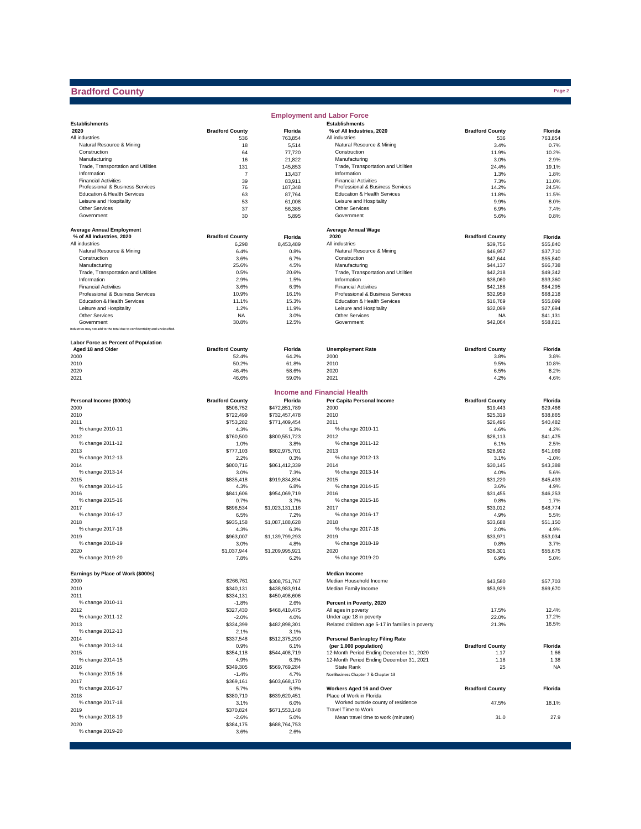## **Bradford County**

|                                                                              |                        |                       | <b>Employment and Labor Force</b>                |                        |                      |
|------------------------------------------------------------------------------|------------------------|-----------------------|--------------------------------------------------|------------------------|----------------------|
| <b>Establishments</b>                                                        |                        |                       | <b>Establishments</b>                            |                        |                      |
| 2020                                                                         | <b>Bradford County</b> | Florida               | % of All Industries, 2020                        | <b>Bradford County</b> | Florida              |
| All industries                                                               | 536                    | 763,854               | All industries<br>Natural Resource & Mining      | 536                    | 763,854              |
| Natural Resource & Mining<br>Construction                                    | 18<br>64               | 5,514<br>77,720       | Construction                                     | 3.4%<br>11.9%          | 0.7%<br>10.2%        |
| Manufacturing                                                                | 16                     | 21,822                | Manufacturing                                    | 3.0%                   | 2.9%                 |
| Trade, Transportation and Utilities                                          | 131                    | 145,853               | Trade, Transportation and Utilities              | 24.4%                  | 19.1%                |
| Information                                                                  | 7                      | 13,437                | Information                                      | 1.3%                   | 1.8%                 |
| <b>Financial Activities</b>                                                  | 39                     | 83,911                | <b>Financial Activities</b>                      | 7.3%                   | 11.0%                |
| Professional & Business Services                                             | 76                     | 187,348               | Professional & Business Services                 | 14.2%                  | 24.5%                |
| Education & Health Services                                                  | 63                     | 87,764                | Education & Health Services                      | 11.8%                  | 11.5%                |
| Leisure and Hospitality                                                      | 53                     | 61,008                | Leisure and Hospitality                          | 9.9%                   | 8.0%                 |
| <b>Other Services</b>                                                        | 37                     | 56,385                | Other Services                                   | 6.9%                   | 7.4%                 |
| Government                                                                   | 30                     | 5,895                 | Government                                       | 5.6%                   | 0.8%                 |
| <b>Average Annual Employment</b>                                             |                        |                       | <b>Average Annual Wage</b>                       |                        |                      |
| % of All Industries, 2020                                                    | <b>Bradford County</b> | Florida               | 2020                                             | <b>Bradford County</b> | Florida              |
| All industries                                                               | 6,298                  | 8,453,489             | All industries                                   | \$39,756               | \$55,840             |
| Natural Resource & Mining                                                    | 6.4%                   | 0.8%                  | Natural Resource & Mining                        | \$46,957               | \$37,710             |
| Construction                                                                 | 3.6%                   | 6.7%                  | Construction                                     | \$47,644               | \$55,840             |
| Manufacturing                                                                | 25.6%                  | 4.5%                  | Manufacturing                                    | \$44,137               | \$66,738             |
| Trade, Transportation and Utilities                                          | 0.5%                   | 20.6%                 | Trade, Transportation and Utilities              | \$42,218               | \$49,342             |
| Information                                                                  | 2.9%                   | 1.5%                  | Information                                      | \$38,060               | \$93,360             |
| <b>Financial Activities</b>                                                  | 3.6%                   | 6.9%                  | <b>Financial Activities</b>                      | \$42,186               | \$84,295             |
| Professional & Business Services                                             | 10.9%                  | 16.1%                 | Professional & Business Services                 | \$32,959               | \$68,218             |
| Education & Health Services                                                  | 11.1%                  | 15.3%                 | Education & Health Services                      | \$16,769               | \$55,099             |
| Leisure and Hospitality<br><b>Other Services</b>                             | 1.2%<br><b>NA</b>      | 11.9%<br>3.0%         | Leisure and Hospitality<br>Other Services        | \$32,099<br><b>NA</b>  | \$27,694<br>\$41,131 |
| Government                                                                   | 30.8%                  | 12.5%                 | Government                                       | \$42,064               | \$58,821             |
| Industries may not add to the total due to confidentiality and unclassified. |                        |                       |                                                  |                        |                      |
|                                                                              |                        |                       |                                                  |                        |                      |
| Labor Force as Percent of Population                                         |                        |                       |                                                  |                        |                      |
| Aged 18 and Older                                                            | <b>Bradford County</b> | Florida               | <b>Unemployment Rate</b>                         | <b>Bradford County</b> | Florida              |
| 2000                                                                         | 52.4%                  | 64.2%                 | 2000                                             | 3.8%                   | 3.8%                 |
| 2010<br>2020                                                                 | 50.2%<br>46.4%         | 61.8%<br>58.6%        | 2010<br>2020                                     | 9.5%<br>6.5%           | 10.8%<br>8.2%        |
| 2021                                                                         | 46.6%                  | 59.0%                 | 2021                                             | 4.2%                   | 4.6%                 |
|                                                                              |                        |                       |                                                  |                        |                      |
|                                                                              |                        |                       | <b>Income and Financial Health</b>               |                        |                      |
| Personal Income (\$000s)                                                     | <b>Bradford County</b> | Florida               | Per Capita Personal Income                       | <b>Bradford County</b> | Florida              |
| 2000                                                                         | \$506,752              | \$472,851,789         | 2000                                             | \$19,443               | \$29,466             |
| 2010                                                                         | \$722,499              | \$732,457,478         | 2010                                             | \$25,319               | \$38,865             |
| 2011                                                                         | \$753,282              | \$771,409,454         | 2011                                             | \$26,496               | \$40,482             |
| % change 2010-11                                                             | 4.3%                   | 5.3%                  | % change 2010-11                                 | 4.6%                   | 4.2%                 |
| 2012                                                                         | \$760,500              | \$800,551,723         | 2012                                             | \$28,113               | \$41,475             |
| % change 2011-12                                                             | 1.0%                   | 3.8%                  | % change 2011-12                                 | 6.1%                   | 2.5%                 |
| 2013<br>% change 2012-13                                                     | \$777,103              | \$802,975,701         | 2013<br>% change 2012-13                         | \$28,992               | \$41,069             |
| 2014                                                                         | 2.2%                   | 0.3%                  | 2014                                             | 3.1%                   | $-1.0%$<br>\$43,388  |
| % change 2013-14                                                             | \$800,716<br>3.0%      | \$861,412,339<br>7.3% | % change 2013-14                                 | \$30,145<br>4.0%       | 5.6%                 |
| 2015                                                                         | \$835,418              | \$919,834,894         | 2015                                             | \$31,220               | \$45,493             |
| % change 2014-15                                                             | 4.3%                   | 6.8%                  | % change 2014-15                                 | 3.6%                   | 4.9%                 |
| 2016                                                                         | \$841,606              | \$954,069,719         | 2016                                             | \$31,455               | \$46,253             |
| % change 2015-16                                                             | 0.7%                   | 3.7%                  | % change 2015-16                                 | 0.8%                   | 1.7%                 |
| 2017                                                                         | \$896,534              | \$1,023,131,116       | 2017                                             | \$33,012               | \$48,774             |
| % change 2016-17                                                             | 6.5%                   | 7.2%                  | % change 2016-17                                 | 4.9%                   | 5.5%                 |
| 2018                                                                         | \$935,158              | \$1,087,188,628       | 2018                                             | \$33,688               | \$51,150             |
| % change 2017-18                                                             | 4.3%                   | 6.3%                  | % change 2017-18                                 | 2.0%                   | 4.9%                 |
| 2019                                                                         | \$963,007              | \$1,139,799,293       | 2019                                             | \$33,971               | \$53,034             |
| % change 2018-19                                                             | 3.0%                   | 4.8%                  | % change 2018-19                                 | 0.8%                   | 3.7%                 |
| 2020<br>% change 2019-20                                                     | \$1,037,944            | \$1,209,995,921       | 2020<br>% change 2019-20                         | \$36,301               | \$55,675             |
|                                                                              | 7.8%                   | 6.2%                  |                                                  | 6.9%                   | 5.0%                 |
| Earnings by Place of Work (\$000s)                                           |                        |                       | <b>Median Income</b>                             |                        |                      |
| 2000                                                                         | \$266,761              | \$308,751,767         | Median Household Income                          | \$43,580               | \$57,703             |
| 2010                                                                         | \$340,131              | \$438,983,914         | Median Family Income                             | \$53,929               | \$69,670             |
| 2011                                                                         | \$334,131              | \$450,498,606         |                                                  |                        |                      |
| % change 2010-11                                                             | $-1.8%$                | 2.6%                  | Percent in Poverty, 2020                         |                        |                      |
| 2012                                                                         | \$327,430              | \$468,410,475         | All ages in poverty                              | 17.5%                  | 12.4%                |
| % change 2011-12                                                             | $-2.0%$                | 4.0%                  | Under age 18 in poverty                          | 22.0%                  | 17.2%                |
| 2013                                                                         | \$334,399              | \$482,898,301         | Related children age 5-17 in families in poverty | 21.3%                  | 16.5%                |
| % change 2012-13                                                             | 2.1%                   | 3.1%                  |                                                  |                        |                      |
| 2014                                                                         | \$337,548              | \$512,375,290         | <b>Personal Bankruptcy Filing Rate</b>           |                        |                      |
| % change 2013-14                                                             | 0.9%                   | 6.1%                  | (per 1,000 population)                           | <b>Bradford County</b> | Florida              |
| 2015                                                                         | \$354,118              | \$544,408,719         | 12-Month Period Ending December 31, 2020         | 1.17                   | 1.66                 |
| % change 2014-15                                                             | 4.9%                   | 6.3%                  | 12-Month Period Ending December 31, 2021         | 1.18                   | 1.38                 |
| 2016<br>% change 2015-16                                                     | \$349,305              | \$569,769,284         | State Rank                                       | 25                     | <b>NA</b>            |
| 2017                                                                         | $-1.4%$<br>\$369,161   | 4.7%<br>\$603,668,170 | NonBusiness Chapter 7 & Chapter 13               |                        |                      |
| % change 2016-17                                                             | 5.7%                   | 5.9%                  | Workers Aged 16 and Over                         | <b>Bradford County</b> | Florida              |
| 2018                                                                         | \$380,710              | \$639,620,451         | Place of Work in Florida                         |                        |                      |
| % change 2017-18                                                             | 3.1%                   | 6.0%                  | Worked outside county of residence               | 47.5%                  | 18.1%                |
| 2019                                                                         | \$370,824              | \$671,553,148         | Travel Time to Work                              |                        |                      |
| % change 2018-19                                                             | $-2.6%$                | 5.0%                  | Mean travel time to work (minutes)               | 31.0                   | 27.9                 |
| 2020                                                                         | \$384,175              | \$688,764,753         |                                                  |                        |                      |
| % change 2019-20                                                             | 3.6%                   | 2.6%                  |                                                  |                        |                      |